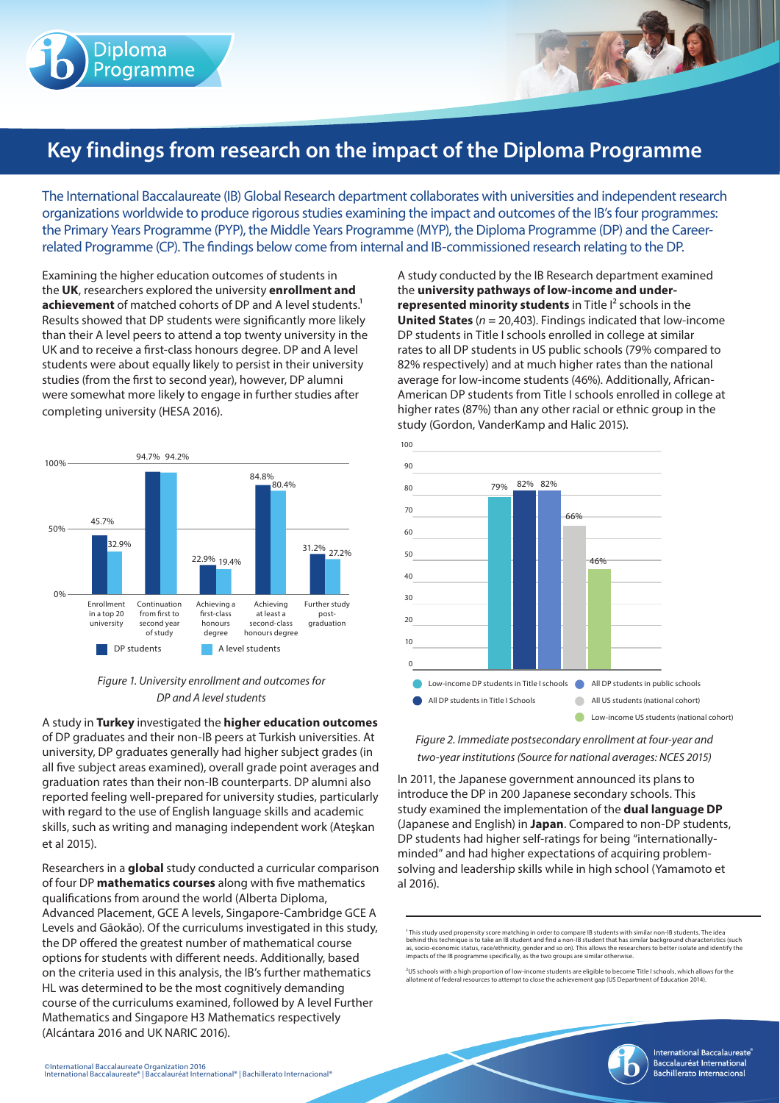

## **Key findings from research on the impact of the Diploma Programme**

The International Baccalaureate (IB) Global Research department collaborates with universities and independent research organizations worldwide to produce rigorous studies examining the impact and outcomes of the IB's four programmes: the Primary Years Programme (PYP), the Middle Years Programme (MYP), the Diploma Programme (DP) and the Careerrelated Programme (CP). The findings below come from internal and IB-commissioned research relating to the DP.

Examining the higher education outcomes of students in the **UK**, researchers explored the university **enrollment and achievement** of matched cohorts of DP and A level students.<sup>1</sup> Results showed that DP students were significantly more likely than their A level peers to attend a top twenty university in the UK and to receive a first-class honours degree. DP and A level students were about equally likely to persist in their university studies (from the first to second year), however, DP alumni were somewhat more likely to engage in further studies after completing university (HESA 2016).



## *Figure 1. University enrollment and outcomes for DP and A level students*

A study in **Turkey** investigated the **higher education outcomes**  of DP graduates and their non-IB peers at Turkish universities. At university, DP graduates generally had higher subject grades (in all five subject areas examined), overall grade point averages and graduation rates than their non-IB counterparts. DP alumni also reported feeling well-prepared for university studies, particularly with regard to the use of English language skills and academic skills, such as writing and managing independent work (Ateşkan et al 2015).

Researchers in a **global** study conducted a curricular comparison of four DP **mathematics courses** along with five mathematics qualifications from around the world (Alberta Diploma, Advanced Placement, GCE A levels, Singapore-Cambridge GCE A Levels and Gāokăo). Of the curriculums investigated in this study, the DP offered the greatest number of mathematical course options for students with different needs. Additionally, based on the criteria used in this analysis, the IB's further mathematics HL was determined to be the most cognitively demanding course of the curriculums examined, followed by A level Further Mathematics and Singapore H3 Mathematics respectively (Alcántara 2016 and UK NARIC 2016).

79% 82% 82% 100 90 80 70 60 50  $40$ 



66%

46%

A study conducted by the IB Research department examined the **university pathways of low-income and underrepresented minority students** in Title I<sup>2</sup> schools in the **United States** (*n* = 20,403). Findings indicated that low-income DP students in Title I schools enrolled in college at similar rates to all DP students in US public schools (79% compared to 82% respectively) and at much higher rates than the national average for low-income students (46%). Additionally, African-American DP students from Title I schools enrolled in college at higher rates (87%) than any other racial or ethnic group in the

study (Gordon, VanderKamp and Halic 2015).

*Figure 2. Immediate postsecondary enrollment at four-year and two-year institutions (Source for national averages: NCES 2015)*

In 2011, the Japanese government announced its plans to introduce the DP in 200 Japanese secondary schools. This study examined the implementation of the **dual language DP** (Japanese and English) in **Japan**. Compared to non-DP students, DP students had higher self-ratings for being "internationallyminded" and had higher expectations of acquiring problemsolving and leadership skills while in high school (Yamamoto et al 2016).

<sup>1</sup> This study used propensity score matching in order to compare IB students with similar non-IB students. The idea<br>behind this technique is to take an IB student and find a non-IB student that has similar background char

<sup>2</sup>US schools with a high proportion of low-income students are eligible to become Title I schools, which allows for the allotment of federal resources to attempt to close the achievement gap (US Department of Education 2014).